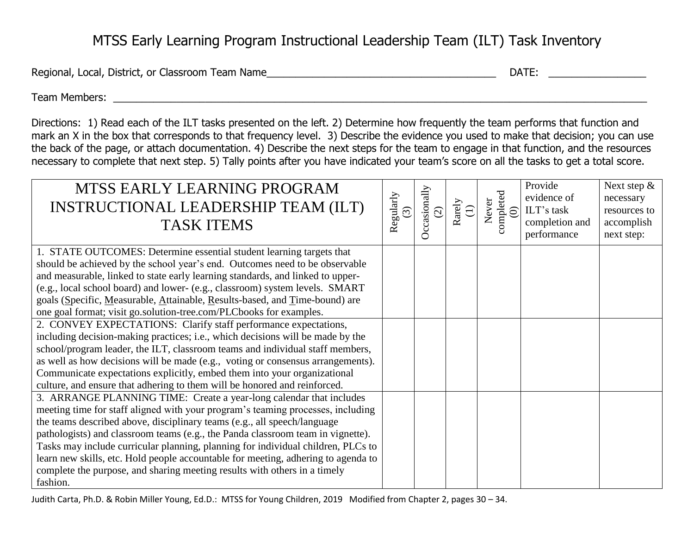## MTSS Early Learning Program Instructional Leadership Team (ILT) Task Inventory

Regional, Local, District, or Classroom Team Name\_\_\_\_\_\_\_\_\_\_\_\_\_\_\_\_\_\_\_\_\_\_\_\_\_\_\_\_\_\_\_\_\_\_\_\_\_\_\_\_ DATE: \_\_\_\_\_\_\_\_\_\_\_\_\_\_\_\_\_

Team Members: \_\_\_\_\_\_\_\_\_\_\_\_\_\_\_\_\_\_\_\_\_\_\_\_\_\_\_\_\_\_\_\_\_\_\_\_\_\_\_\_\_\_\_\_\_\_\_\_\_\_\_\_\_\_\_\_\_\_\_\_\_\_\_\_\_\_\_\_\_\_\_\_\_\_\_\_\_\_\_\_\_\_\_\_\_\_\_\_\_\_\_\_\_

Directions: 1) Read each of the ILT tasks presented on the left. 2) Determine how frequently the team performs that function and mark an X in the box that corresponds to that frequency level. 3) Describe the evidence you used to make that decision; you can use the back of the page, or attach documentation. 4) Describe the next steps for the team to engage in that function, and the resources necessary to complete that next step. 5) Tally points after you have indicated your team's score on all the tasks to get a total score.

| MTSS EARLY LEARNING PROGRAM<br>INSTRUCTIONAL LEADERSHIP TEAM (ILT)<br><b>TASK ITEMS</b>                                                                                                                                                                                                                                                                                                                                                                                                                                                                                                 | Regularly<br>$\odot$ | Occasionally<br>$\widehat{O}$ | Rarely | completed<br>Never<br>$\odot$ | Provide<br>evidence of<br>ILT's task<br>completion and<br>performance | Next step $&$<br>necessary<br>resources to<br>accomplish<br>next step: |
|-----------------------------------------------------------------------------------------------------------------------------------------------------------------------------------------------------------------------------------------------------------------------------------------------------------------------------------------------------------------------------------------------------------------------------------------------------------------------------------------------------------------------------------------------------------------------------------------|----------------------|-------------------------------|--------|-------------------------------|-----------------------------------------------------------------------|------------------------------------------------------------------------|
| 1. STATE OUTCOMES: Determine essential student learning targets that<br>should be achieved by the school year's end. Outcomes need to be observable<br>and measurable, linked to state early learning standards, and linked to upper-<br>(e.g., local school board) and lower- (e.g., classroom) system levels. SMART<br>goals (Specific, Measurable, Attainable, Results-based, and Time-bound) are<br>one goal format; visit go.solution-tree.com/PLCbooks for examples.                                                                                                              |                      |                               |        |                               |                                                                       |                                                                        |
| 2. CONVEY EXPECTATIONS: Clarify staff performance expectations,<br>including decision-making practices; i.e., which decisions will be made by the<br>school/program leader, the ILT, classroom teams and individual staff members,<br>as well as how decisions will be made (e.g., voting or consensus arrangements).<br>Communicate expectations explicitly, embed them into your organizational<br>culture, and ensure that adhering to them will be honored and reinforced.                                                                                                          |                      |                               |        |                               |                                                                       |                                                                        |
| 3. ARRANGE PLANNING TIME: Create a year-long calendar that includes<br>meeting time for staff aligned with your program's teaming processes, including<br>the teams described above, disciplinary teams (e.g., all speech/language<br>pathologists) and classroom teams (e.g., the Panda classroom team in vignette).<br>Tasks may include curricular planning, planning for individual children, PLCs to<br>learn new skills, etc. Hold people accountable for meeting, adhering to agenda to<br>complete the purpose, and sharing meeting results with others in a timely<br>fashion. |                      |                               |        |                               |                                                                       |                                                                        |

Judith Carta, Ph.D. & Robin Miller Young, Ed.D.: MTSS for Young Children, 2019 Modified from Chapter 2, pages 30 – 34.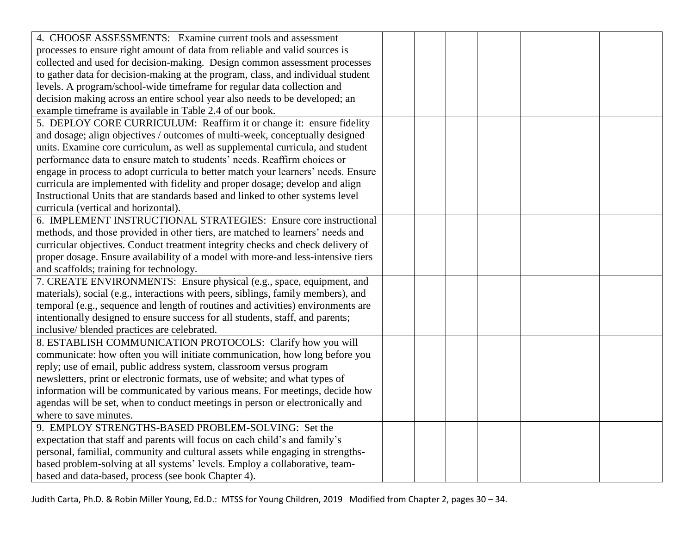| 4. CHOOSE ASSESSMENTS: Examine current tools and assessment                       |  |  |  |
|-----------------------------------------------------------------------------------|--|--|--|
| processes to ensure right amount of data from reliable and valid sources is       |  |  |  |
| collected and used for decision-making. Design common assessment processes        |  |  |  |
| to gather data for decision-making at the program, class, and individual student  |  |  |  |
| levels. A program/school-wide timeframe for regular data collection and           |  |  |  |
| decision making across an entire school year also needs to be developed; an       |  |  |  |
| example timeframe is available in Table 2.4 of our book.                          |  |  |  |
| 5. DEPLOY CORE CURRICULUM: Reaffirm it or change it: ensure fidelity              |  |  |  |
| and dosage; align objectives / outcomes of multi-week, conceptually designed      |  |  |  |
| units. Examine core curriculum, as well as supplemental curricula, and student    |  |  |  |
| performance data to ensure match to students' needs. Reaffirm choices or          |  |  |  |
| engage in process to adopt curricula to better match your learners' needs. Ensure |  |  |  |
| curricula are implemented with fidelity and proper dosage; develop and align      |  |  |  |
| Instructional Units that are standards based and linked to other systems level    |  |  |  |
| curricula (vertical and horizontal).                                              |  |  |  |
| 6. IMPLEMENT INSTRUCTIONAL STRATEGIES: Ensure core instructional                  |  |  |  |
| methods, and those provided in other tiers, are matched to learners' needs and    |  |  |  |
| curricular objectives. Conduct treatment integrity checks and check delivery of   |  |  |  |
| proper dosage. Ensure availability of a model with more-and less-intensive tiers  |  |  |  |
| and scaffolds; training for technology.                                           |  |  |  |
| 7. CREATE ENVIRONMENTS: Ensure physical (e.g., space, equipment, and              |  |  |  |
| materials), social (e.g., interactions with peers, siblings, family members), and |  |  |  |
| temporal (e.g., sequence and length of routines and activities) environments are  |  |  |  |
| intentionally designed to ensure success for all students, staff, and parents;    |  |  |  |
| inclusive/ blended practices are celebrated.                                      |  |  |  |
| 8. ESTABLISH COMMUNICATION PROTOCOLS: Clarify how you will                        |  |  |  |
| communicate: how often you will initiate communication, how long before you       |  |  |  |
| reply; use of email, public address system, classroom versus program              |  |  |  |
| newsletters, print or electronic formats, use of website; and what types of       |  |  |  |
| information will be communicated by various means. For meetings, decide how       |  |  |  |
| agendas will be set, when to conduct meetings in person or electronically and     |  |  |  |
| where to save minutes.                                                            |  |  |  |
| 9. EMPLOY STRENGTHS-BASED PROBLEM-SOLVING: Set the                                |  |  |  |
| expectation that staff and parents will focus on each child's and family's        |  |  |  |
| personal, familial, community and cultural assets while engaging in strengths-    |  |  |  |
| based problem-solving at all systems' levels. Employ a collaborative, team-       |  |  |  |
| based and data-based, process (see book Chapter 4).                               |  |  |  |

Judith Carta, Ph.D. & Robin Miller Young, Ed.D.: MTSS for Young Children, 2019 Modified from Chapter 2, pages 30 – 34.